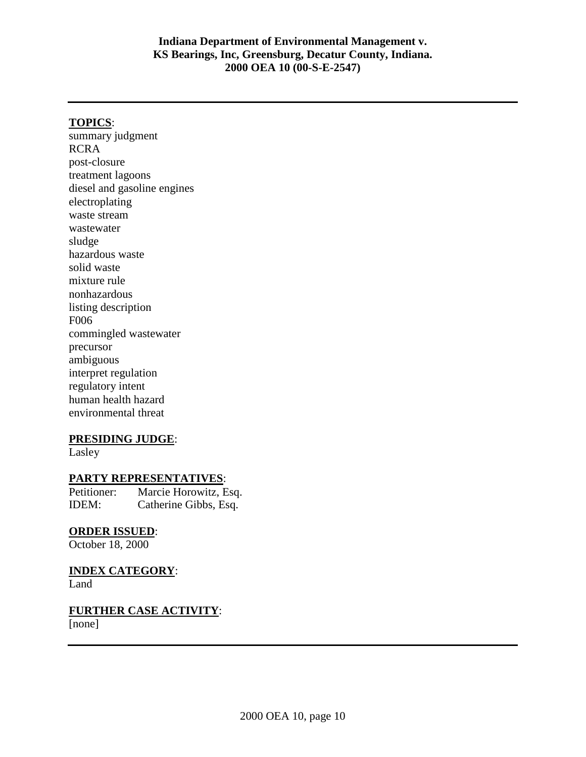### **TOPICS**:

summary judgment RCRA post-closure treatment lagoons diesel and gasoline engines electroplating waste stream wastewater sludge hazardous waste solid waste mixture rule nonhazardous listing description F006 commingled wastewater precursor ambiguous interpret regulation regulatory intent human health hazard environmental threat

#### **PRESIDING JUDGE**:

Lasley

#### **PARTY REPRESENTATIVES**:

Petitioner: Marcie Horowitz, Esq. IDEM: Catherine Gibbs, Esq.

### **ORDER ISSUED**:

October 18, 2000

### **INDEX CATEGORY**:

Land

# **FURTHER CASE ACTIVITY**:

[none]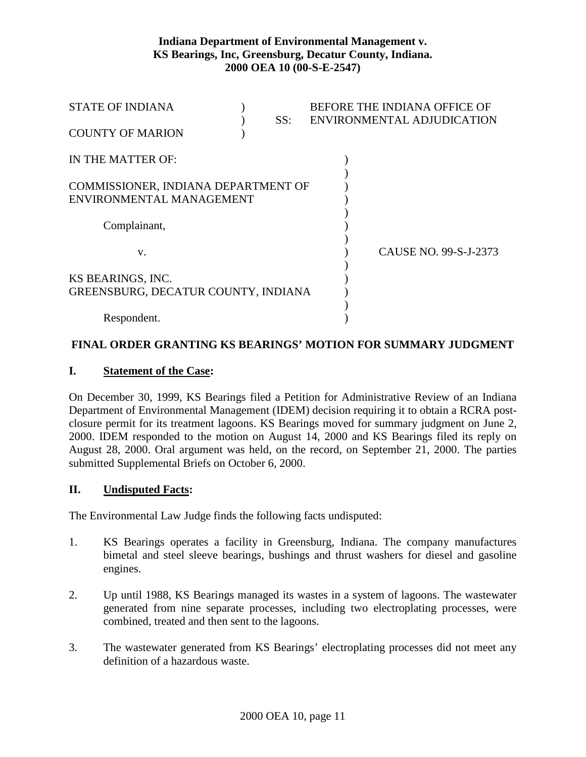| <b>STATE OF INDIANA</b>             |     | BEFORE THE INDIANA OFFICE OF |
|-------------------------------------|-----|------------------------------|
|                                     | SS: | ENVIRONMENTAL ADJUDICATION   |
| <b>COUNTY OF MARION</b>             |     |                              |
|                                     |     |                              |
| IN THE MATTER OF:                   |     |                              |
|                                     |     |                              |
| COMMISSIONER, INDIANA DEPARTMENT OF |     |                              |
| ENVIRONMENTAL MANAGEMENT            |     |                              |
|                                     |     |                              |
| Complainant,                        |     |                              |
|                                     |     |                              |
| V.                                  |     | CAUSE NO. 99-S-J-2373        |
|                                     |     |                              |
| KS BEARINGS, INC.                   |     |                              |
| GREENSBURG, DECATUR COUNTY, INDIANA |     |                              |
|                                     |     |                              |
| Respondent.                         |     |                              |
|                                     |     |                              |

### **FINAL ORDER GRANTING KS BEARINGS' MOTION FOR SUMMARY JUDGMENT**

## **I. Statement of the Case:**

On December 30, 1999, KS Bearings filed a Petition for Administrative Review of an Indiana Department of Environmental Management (IDEM) decision requiring it to obtain a RCRA postclosure permit for its treatment lagoons. KS Bearings moved for summary judgment on June 2, 2000. IDEM responded to the motion on August 14, 2000 and KS Bearings filed its reply on August 28, 2000. Oral argument was held, on the record, on September 21, 2000. The parties submitted Supplemental Briefs on October 6, 2000.

### **II. Undisputed Facts:**

The Environmental Law Judge finds the following facts undisputed:

- 1. KS Bearings operates a facility in Greensburg, Indiana. The company manufactures bimetal and steel sleeve bearings, bushings and thrust washers for diesel and gasoline engines.
- 2. Up until 1988, KS Bearings managed its wastes in a system of lagoons. The wastewater generated from nine separate processes, including two electroplating processes, were combined, treated and then sent to the lagoons.
- 3. The wastewater generated from KS Bearings' electroplating processes did not meet any definition of a hazardous waste.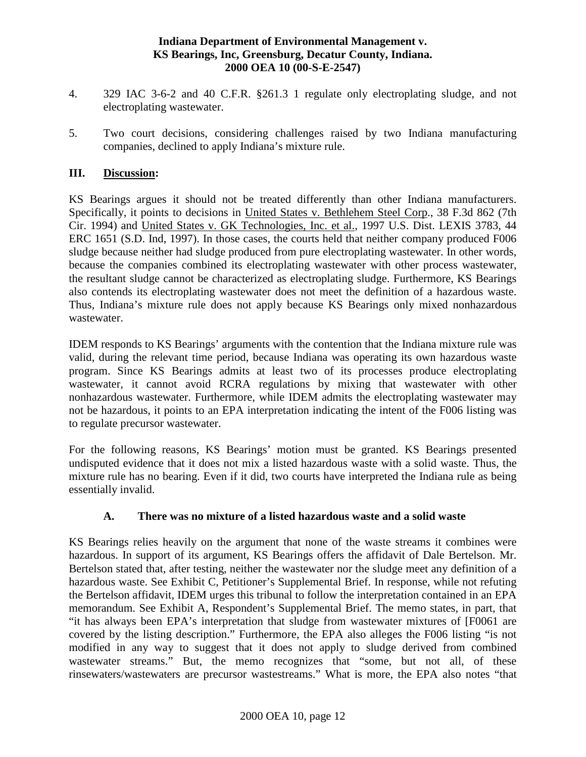- 4. 329 IAC 3-6-2 and 40 C.F.R. §261.3 1 regulate only electroplating sludge, and not electroplating wastewater.
- 5. Two court decisions, considering challenges raised by two Indiana manufacturing companies, declined to apply Indiana's mixture rule.

## **III. Discussion:**

KS Bearings argues it should not be treated differently than other Indiana manufacturers. Specifically, it points to decisions in United States v. Bethlehem Steel Corp., 38 F.3d 862 (7th Cir. 1994) and United States v. GK Technologies, Inc. et al., 1997 U.S. Dist. LEXIS 3783, 44 ERC 1651 (S.D. Ind, 1997). In those cases, the courts held that neither company produced F006 sludge because neither had sludge produced from pure electroplating wastewater. In other words, because the companies combined its electroplating wastewater with other process wastewater, the resultant sludge cannot be characterized as electroplating sludge. Furthermore, KS Bearings also contends its electroplating wastewater does not meet the definition of a hazardous waste. Thus, Indiana's mixture rule does not apply because KS Bearings only mixed nonhazardous wastewater.

IDEM responds to KS Bearings' arguments with the contention that the Indiana mixture rule was valid, during the relevant time period, because Indiana was operating its own hazardous waste program. Since KS Bearings admits at least two of its processes produce electroplating wastewater, it cannot avoid RCRA regulations by mixing that wastewater with other nonhazardous wastewater. Furthermore, while IDEM admits the electroplating wastewater may not be hazardous, it points to an EPA interpretation indicating the intent of the F006 listing was to regulate precursor wastewater.

For the following reasons, KS Bearings' motion must be granted. KS Bearings presented undisputed evidence that it does not mix a listed hazardous waste with a solid waste. Thus, the mixture rule has no bearing. Even if it did, two courts have interpreted the Indiana rule as being essentially invalid.

## **A. There was no mixture of a listed hazardous waste and a solid waste**

KS Bearings relies heavily on the argument that none of the waste streams it combines were hazardous. In support of its argument, KS Bearings offers the affidavit of Dale Bertelson. Mr. Bertelson stated that, after testing, neither the wastewater nor the sludge meet any definition of a hazardous waste. See Exhibit C, Petitioner's Supplemental Brief. In response, while not refuting the Bertelson affidavit, IDEM urges this tribunal to follow the interpretation contained in an EPA memorandum. See Exhibit A, Respondent's Supplemental Brief. The memo states, in part, that "it has always been EPA's interpretation that sludge from wastewater mixtures of [F0061 are covered by the listing description." Furthermore, the EPA also alleges the F006 listing "is not modified in any way to suggest that it does not apply to sludge derived from combined wastewater streams." But, the memo recognizes that "some, but not all, of these rinsewaters/wastewaters are precursor wastestreams." What is more, the EPA also notes "that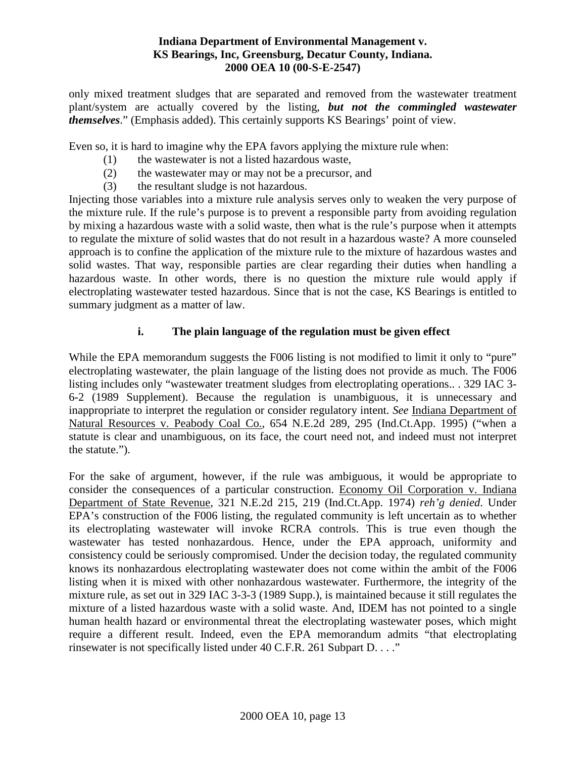only mixed treatment sludges that are separated and removed from the wastewater treatment plant/system are actually covered by the listing, *but not the commingled wastewater themselves*." (Emphasis added). This certainly supports KS Bearings' point of view.

Even so, it is hard to imagine why the EPA favors applying the mixture rule when:

- (1) the wastewater is not a listed hazardous waste,
- (2) the wastewater may or may not be a precursor, and
- (3) the resultant sludge is not hazardous.

Injecting those variables into a mixture rule analysis serves only to weaken the very purpose of the mixture rule. If the rule's purpose is to prevent a responsible party from avoiding regulation by mixing a hazardous waste with a solid waste, then what is the rule's purpose when it attempts to regulate the mixture of solid wastes that do not result in a hazardous waste? A more counseled approach is to confine the application of the mixture rule to the mixture of hazardous wastes and solid wastes. That way, responsible parties are clear regarding their duties when handling a hazardous waste. In other words, there is no question the mixture rule would apply if electroplating wastewater tested hazardous. Since that is not the case, KS Bearings is entitled to summary judgment as a matter of law.

## **i. The plain language of the regulation must be given effect**

While the EPA memorandum suggests the F006 listing is not modified to limit it only to "pure" electroplating wastewater, the plain language of the listing does not provide as much. The F006 listing includes only "wastewater treatment sludges from electroplating operations.. . 329 IAC 3- 6-2 (1989 Supplement). Because the regulation is unambiguous, it is unnecessary and inappropriate to interpret the regulation or consider regulatory intent. *See* Indiana Department of Natural Resources v. Peabody Coal Co., 654 N.E.2d 289, 295 (Ind.Ct.App. 1995) ("when a statute is clear and unambiguous, on its face, the court need not, and indeed must not interpret the statute.").

For the sake of argument, however, if the rule was ambiguous, it would be appropriate to consider the consequences of a particular construction. Economy Oil Corporation v. Indiana Department of State Revenue, 321 N.E.2d 215, 219 (Ind.Ct.App. 1974) *reh'g denied*. Under EPA's construction of the F006 listing, the regulated community is left uncertain as to whether its electroplating wastewater will invoke RCRA controls. This is true even though the wastewater has tested nonhazardous. Hence, under the EPA approach, uniformity and consistency could be seriously compromised. Under the decision today, the regulated community knows its nonhazardous electroplating wastewater does not come within the ambit of the F006 listing when it is mixed with other nonhazardous wastewater. Furthermore, the integrity of the mixture rule, as set out in 329 IAC 3-3-3 (1989 Supp.), is maintained because it still regulates the mixture of a listed hazardous waste with a solid waste. And, IDEM has not pointed to a single human health hazard or environmental threat the electroplating wastewater poses, which might require a different result. Indeed, even the EPA memorandum admits "that electroplating rinsewater is not specifically listed under 40 C.F.R. 261 Subpart D. . . ."